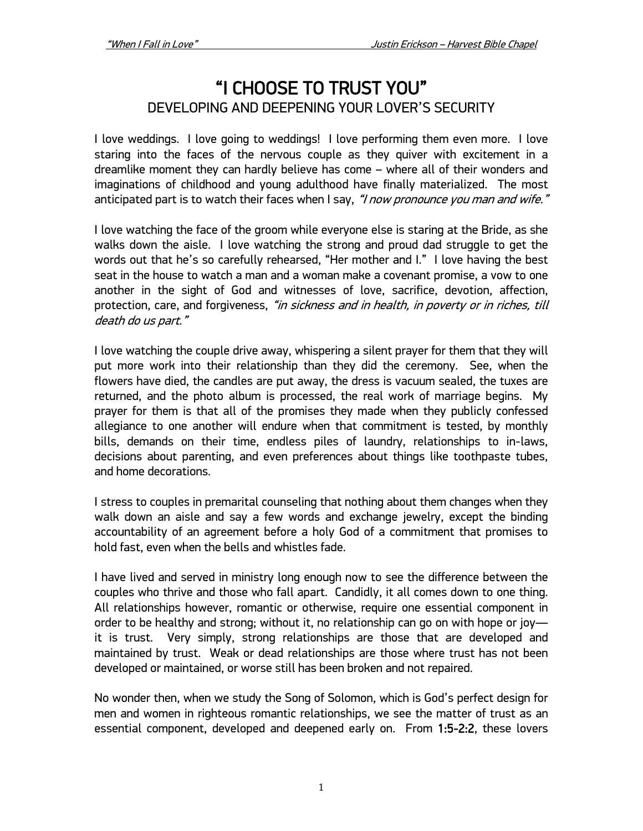# "I CHOOSE TO TRUST YOU" DEVELOPING AND DEEPENING YOUR LOVER'S SECURITY

I love weddings. I love going to weddings! I love performing them even more. I love staring into the faces of the nervous couple as they quiver with excitement in a dreamlike moment they can hardly believe has come – where all of their wonders and imaginations of childhood and young adulthood have finally materialized. The most anticipated part is to watch their faces when I say, "I now pronounce you man and wife."

I love watching the face of the groom while everyone else is staring at the Bride, as she walks down the aisle. I love watching the strong and proud dad struggle to get the words out that he's so carefully rehearsed, "Her mother and I." I love having the best seat in the house to watch a man and a woman make a covenant promise, a vow to one another in the sight of God and witnesses of love, sacrifice, devotion, affection, protection, care, and forgiveness, "in sickness and in health, in poverty or in riches, till death do us part."

I love watching the couple drive away, whispering a silent prayer for them that they will put more work into their relationship than they did the ceremony. See, when the flowers have died, the candles are put away, the dress is vacuum sealed, the tuxes are returned, and the photo album is processed, the real work of marriage begins. My prayer for them is that all of the promises they made when they publicly confessed allegiance to one another will endure when that commitment is tested, by monthly bills, demands on their time, endless piles of laundry, relationships to in-laws, decisions about parenting, and even preferences about things like toothpaste tubes, and home decorations.

I stress to couples in premarital counseling that nothing about them changes when they walk down an aisle and say a few words and exchange jewelry, except the binding accountability of an agreement before a holy God of a commitment that promises to hold fast, even when the bells and whistles fade.

I have lived and served in ministry long enough now to see the difference between the couples who thrive and those who fall apart. Candidly, it all comes down to one thing. All relationships however, romantic or otherwise, require one essential component in order to be healthy and strong; without it, no relationship can go on with hope or joy it is trust. Very simply, strong relationships are those that are developed and maintained by trust. Weak or dead relationships are those where trust has not been developed or maintained, or worse still has been broken and not repaired.

No wonder then, when we study the Song of Solomon, which is God's perfect design for men and women in righteous romantic relationships, we see the matter of trust as an essential component, developed and deepened early on. From 1:5-2:2, these lovers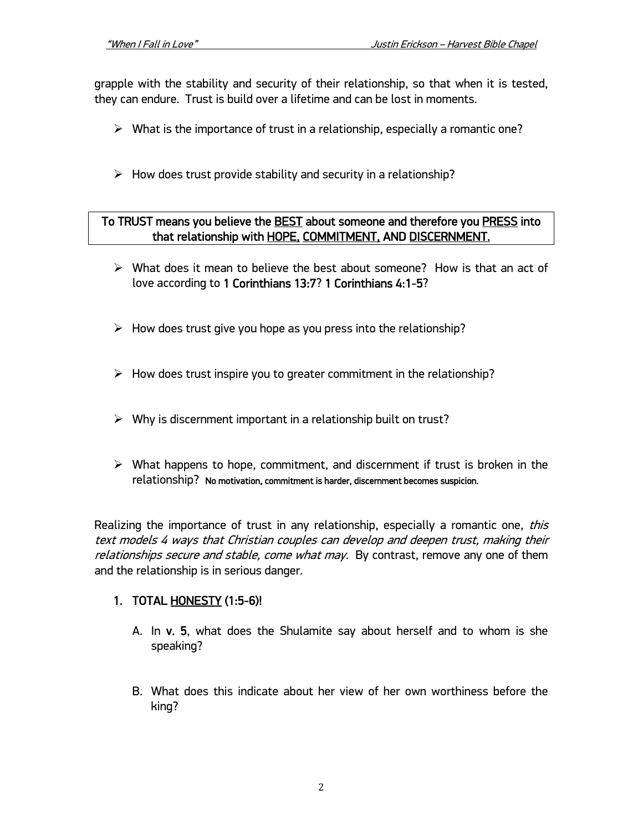grapple with the stability and security of their relationship, so that when it is tested, they can endure. Trust is build over a lifetime and can be lost in moments.

- $\triangleright$  What is the importance of trust in a relationship, especially a romantic one?
- $\triangleright$  How does trust provide stability and security in a relationship?

#### To TRUST means you believe the **BEST** about someone and therefore you **PRESS** into that relationship with HOPE, COMMITMENT, AND DISCERNMENT.

- $\triangleright$  What does it mean to believe the best about someone? How is that an act of love according to 1 Corinthians 13:7? 1 Corinthians 4:1-5?
- $\triangleright$  How does trust give you hope as you press into the relationship?
- $\triangleright$  How does trust inspire you to greater commitment in the relationship?
- $\triangleright$  Why is discernment important in a relationship built on trust?
- $\triangleright$  What happens to hope, commitment, and discernment if trust is broken in the relationship? No motivation, commitment is harder, discernment becomes suspicion.

Realizing the importance of trust in any relationship, especially a romantic one, *this* text models 4 ways that Christian couples can develop and deepen trust, making their relationships secure and stable, come what may. By contrast, remove any one of them and the relationship is in serious danger.

## 1. TOTAL HONESTY (1:5-6)!

- A. In v. 5, what does the Shulamite say about herself and to whom is she speaking?
- B. What does this indicate about her view of her own worthiness before the king?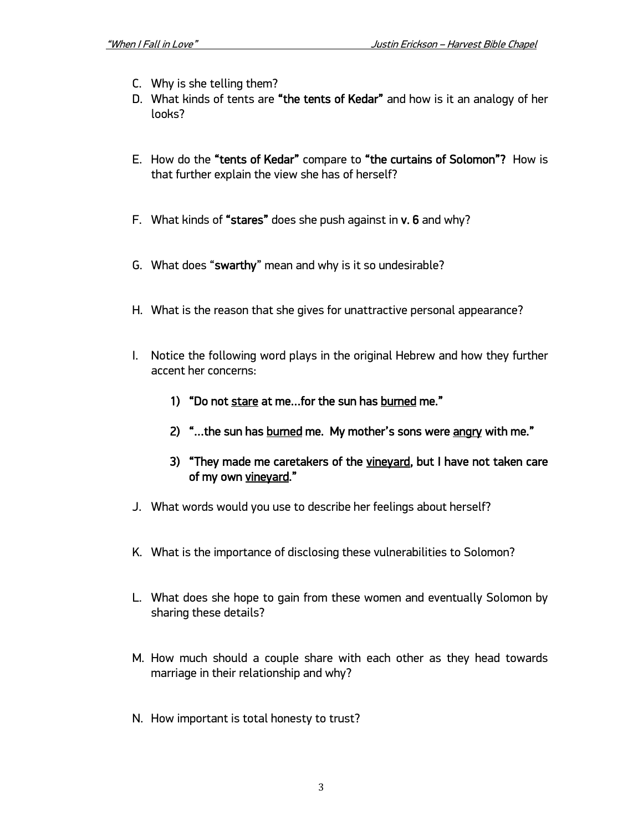- C. Why is she telling them?
- D. What kinds of tents are "the tents of Kedar" and how is it an analogy of her looks?
- E. How do the "tents of Kedar" compare to "the curtains of Solomon"? How is that further explain the view she has of herself?
- F. What kinds of "stares" does she push against in v. 6 and why?
- G. What does "swarthy" mean and why is it so undesirable?
- H. What is the reason that she gives for unattractive personal appearance?
- I. Notice the following word plays in the original Hebrew and how they further accent her concerns:
	- 1) "Do not stare at me…for the sun has burned me."
	- 2) "... the sun has burned me. My mother's sons were angry with me."
	- 3) "They made me caretakers of the vineyard, but I have not taken care of my own vineyard."
- J. What words would you use to describe her feelings about herself?
- K. What is the importance of disclosing these vulnerabilities to Solomon?
- L. What does she hope to gain from these women and eventually Solomon by sharing these details?
- M. How much should a couple share with each other as they head towards marriage in their relationship and why?
- N. How important is total honesty to trust?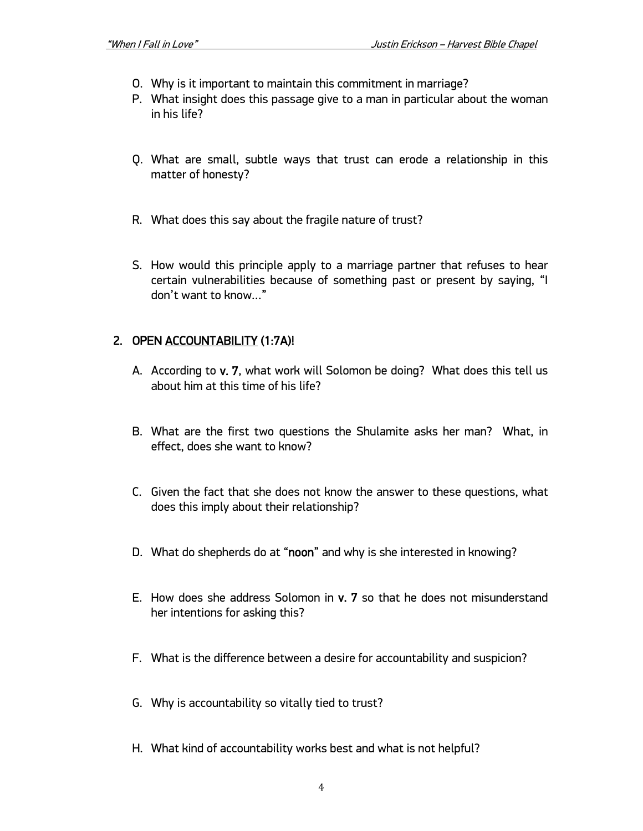- O. Why is it important to maintain this commitment in marriage?
- P. What insight does this passage give to a man in particular about the woman in his life?
- Q. What are small, subtle ways that trust can erode a relationship in this matter of honesty?
- R. What does this say about the fragile nature of trust?
- S. How would this principle apply to a marriage partner that refuses to hear certain vulnerabilities because of something past or present by saying, "I don't want to know…"

#### 2. OPEN ACCOUNTABILITY (1:7A)!

- A. According to v. 7, what work will Solomon be doing? What does this tell us about him at this time of his life?
- B. What are the first two questions the Shulamite asks her man? What, in effect, does she want to know?
- C. Given the fact that she does not know the answer to these questions, what does this imply about their relationship?
- D. What do shepherds do at "noon" and why is she interested in knowing?
- E. How does she address Solomon in v. 7 so that he does not misunderstand her intentions for asking this?
- F. What is the difference between a desire for accountability and suspicion?
- G. Why is accountability so vitally tied to trust?
- H. What kind of accountability works best and what is not helpful?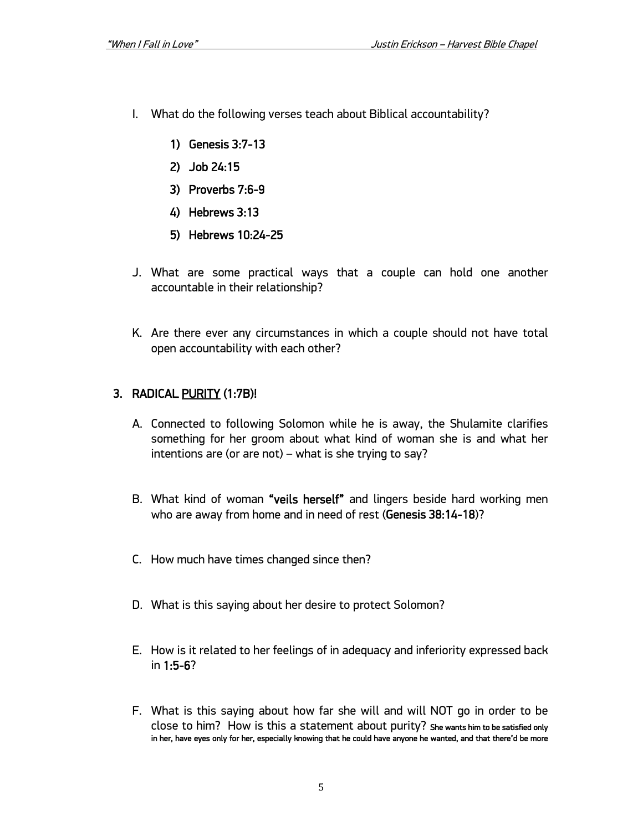- I. What do the following verses teach about Biblical accountability?
	- 1) Genesis 3:7-13
	- 2) Job 24:15
	- 3) Proverbs 7:6-9
	- 4) Hebrews 3:13
	- 5) Hebrews 10:24-25
- J. What are some practical ways that a couple can hold one another accountable in their relationship?
- K. Are there ever any circumstances in which a couple should not have total open accountability with each other?

## 3. RADICAL PURITY (1:7B)!

- A. Connected to following Solomon while he is away, the Shulamite clarifies something for her groom about what kind of woman she is and what her intentions are (or are not) – what is she trying to say?
- B. What kind of woman "veils herself" and lingers beside hard working men who are away from home and in need of rest (Genesis 38:14-18)?
- C. How much have times changed since then?
- D. What is this saying about her desire to protect Solomon?
- E. How is it related to her feelings of in adequacy and inferiority expressed back in 1:5-6?
- F. What is this saying about how far she will and will NOT go in order to be close to him? How is this a statement about purity? She wants him to be satisfied only in her, have eyes only for her, especially knowing that he could have anyone he wanted, and that there'd be more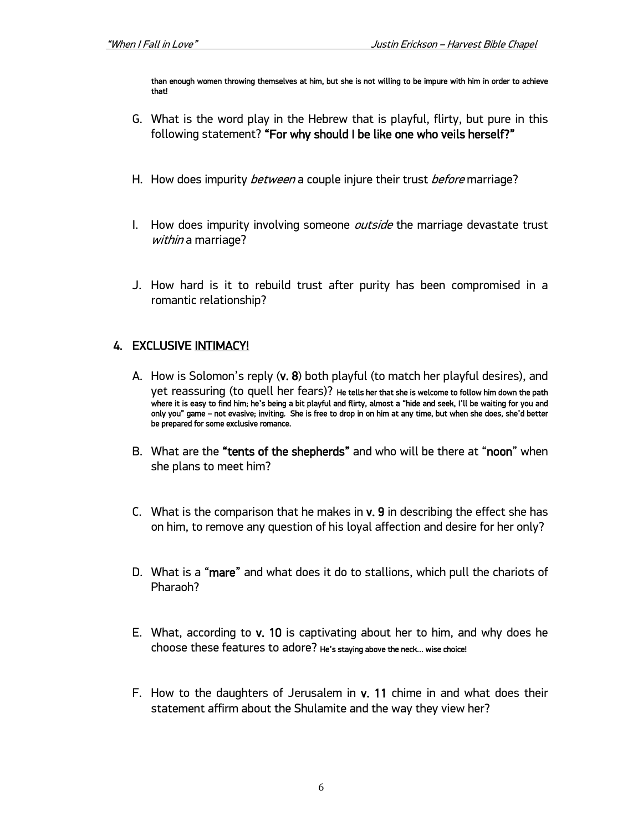than enough women throwing themselves at him, but she is not willing to be impure with him in order to achieve that!

- G. What is the word play in the Hebrew that is playful, flirty, but pure in this following statement? "For why should I be like one who veils herself?"
- H. How does impurity *between* a couple injure their trust *before* marriage?
- I. How does impurity involving someone *outside* the marriage devastate trust within a marriage?
- J. How hard is it to rebuild trust after purity has been compromised in a romantic relationship?

## **4. EXCLUSIVE INTIMACY!**

- A. How is Solomon's reply (v. 8) both playful (to match her playful desires), and yet reassuring (to quell her fears)? He tells her that she is welcome to follow him down the path where it is easy to find him; he's being a bit playful and flirty, almost a "hide and seek, I'll be waiting for you and only you" game – not evasive; inviting. She is free to drop in on him at any time, but when she does, she'd better be prepared for some exclusive romance.
- B. What are the "tents of the shepherds" and who will be there at "noon" when she plans to meet him?
- C. What is the comparison that he makes in  $v$ . 9 in describing the effect she has on him, to remove any question of his loyal affection and desire for her only?
- D. What is a "mare" and what does it do to stallions, which pull the chariots of Pharaoh?
- E. What, according to v. 10 is captivating about her to him, and why does he choose these features to adore? He's staying above the neck… wise choice!
- F. How to the daughters of Jerusalem in v. 11 chime in and what does their statement affirm about the Shulamite and the way they view her?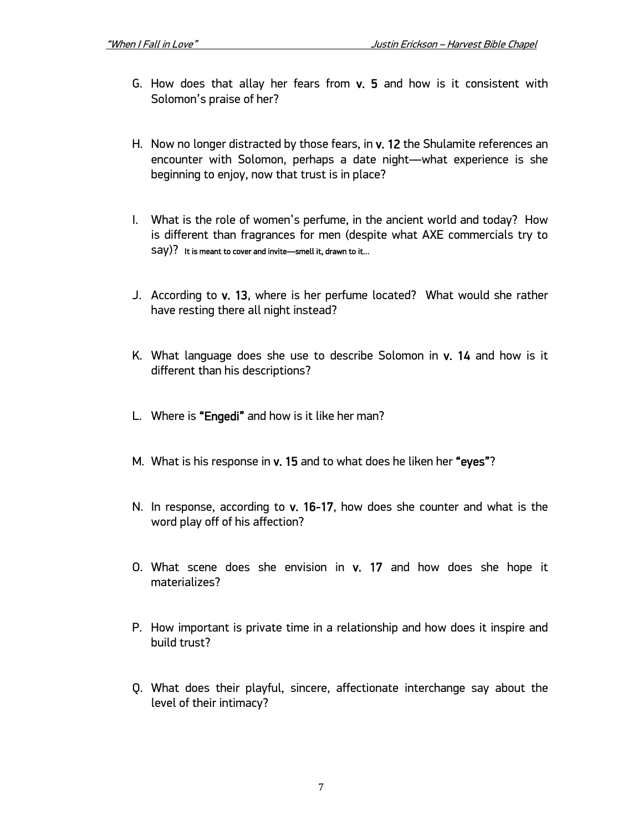- G. How does that allay her fears from v. 5 and how is it consistent with Solomon's praise of her?
- H. Now no longer distracted by those fears, in v. 12 the Shulamite references an encounter with Solomon, perhaps a date night—what experience is she beginning to enjoy, now that trust is in place?
- I. What is the role of women's perfume, in the ancient world and today? How is different than fragrances for men (despite what AXE commercials try to say)? It is meant to cover and invite—smell it, drawn to it…
- J. According to v. 13, where is her perfume located? What would she rather have resting there all night instead?
- K. What language does she use to describe Solomon in v. 14 and how is it different than his descriptions?
- L. Where is "Engedi" and how is it like her man?
- M. What is his response in v. 15 and to what does he liken her "eyes"?
- N. In response, according to v. 16-17, how does she counter and what is the word play off of his affection?
- O. What scene does she envision in v. 17 and how does she hope it materializes?
- P. How important is private time in a relationship and how does it inspire and build trust?
- Q. What does their playful, sincere, affectionate interchange say about the level of their intimacy?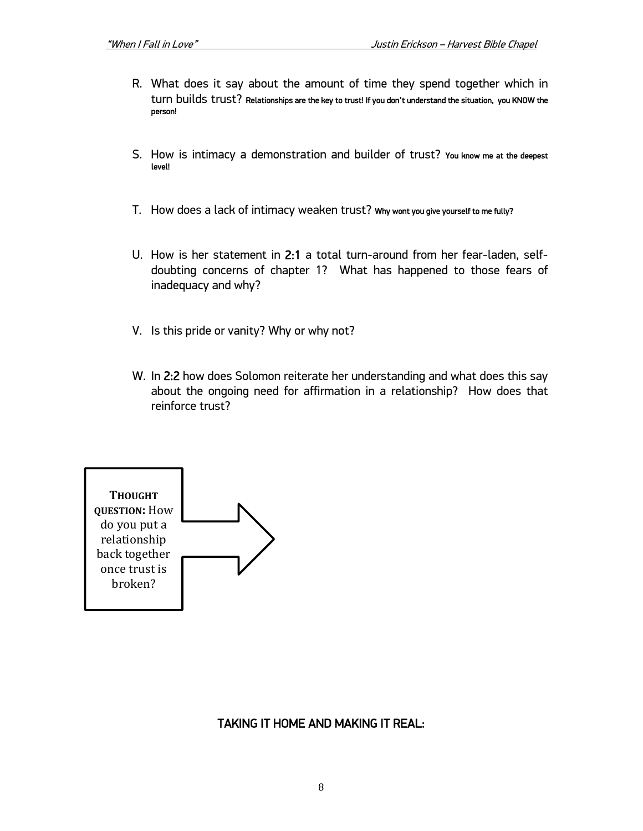- R. What does it say about the amount of time they spend together which in turn builds trust? Relationships are the key to trust! If you don't understand the situation, you KNOW the person!
- S. How is intimacy a demonstration and builder of trust? You know me at the deepest level!
- T. How does a lack of intimacy weaken trust? Why wont you give yourself to me fully?
- U. How is her statement in 2:1 a total turn-around from her fear-laden, selfdoubting concerns of chapter 1? What has happened to those fears of inadequacy and why?
- V. Is this pride or vanity? Why or why not?
- W. In 2:2 how does Solomon reiterate her understanding and what does this say about the ongoing need for affirmation in a relationship? How does that reinforce trust?



#### TAKING IT HOME AND MAKING IT REAL: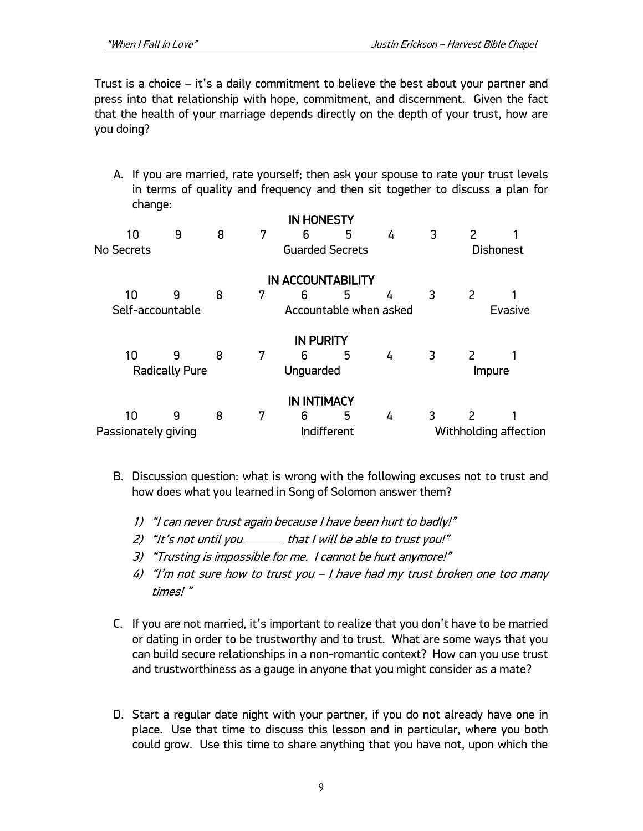Trust is a choice – it's a daily commitment to believe the best about your partner and press into that relationship with hope, commitment, and discernment. Given the fact that the health of your marriage depends directly on the depth of your trust, how are you doing?

A. If you are married, rate yourself; then ask your spouse to rate your trust levels in terms of quality and frequency and then sit together to discuss a plan for change: IN HONESTY

|                       |                        |   |                        | IN HONES IY        |                          |                  |        |                       |  |  |
|-----------------------|------------------------|---|------------------------|--------------------|--------------------------|------------------|--------|-----------------------|--|--|
| 10                    | 9                      | 8 | 7                      | 6                  | 5                        | 4                | 3      | 2                     |  |  |
| No Secrets            | <b>Guarded Secrets</b> |   |                        |                    |                          | <b>Dishonest</b> |        |                       |  |  |
|                       |                        |   |                        |                    | <b>IN ACCOUNTABILITY</b> |                  |        |                       |  |  |
| 10                    | 9                      | 8 | 7                      | 6                  | 5                        | 4                | 3      | 2                     |  |  |
| Self-accountable      |                        |   | Accountable when asked |                    |                          |                  |        | <b>Evasive</b>        |  |  |
|                       |                        |   |                        | <b>IN PURITY</b>   |                          |                  |        |                       |  |  |
| 10                    | 9                      | 8 | 7                      | 6                  | 5                        | 4                | 3      | $\mathcal{L}$         |  |  |
| <b>Radically Pure</b> |                        |   | Unguarded              |                    |                          |                  | Impure |                       |  |  |
|                       |                        |   |                        | <b>IN INTIMACY</b> |                          |                  |        |                       |  |  |
| 10                    | 9                      | 8 | 7                      | 6                  | 5                        | 4                | 3      | 2                     |  |  |
| Passionately giving   |                        |   | Indifferent            |                    |                          |                  |        | Withholding affection |  |  |

- B. Discussion question: what is wrong with the following excuses not to trust and how does what you learned in Song of Solomon answer them?
	- 1) "I can never trust again because I have been hurt to badly!"
	- 2) "It's not until you  $\rule{1em}{0.15mm}$  that I will be able to trust you!"
	- 3) "Trusting is impossible for me. I cannot be hurt anymore!"
	- 4) "I'm not sure how to trust you I have had my trust broken one too many times! "
- C. If you are not married, it's important to realize that you don't have to be married or dating in order to be trustworthy and to trust. What are some ways that you can build secure relationships in a non-romantic context? How can you use trust and trustworthiness as a gauge in anyone that you might consider as a mate?
- D. Start a regular date night with your partner, if you do not already have one in place. Use that time to discuss this lesson and in particular, where you both could grow. Use this time to share anything that you have not, upon which the